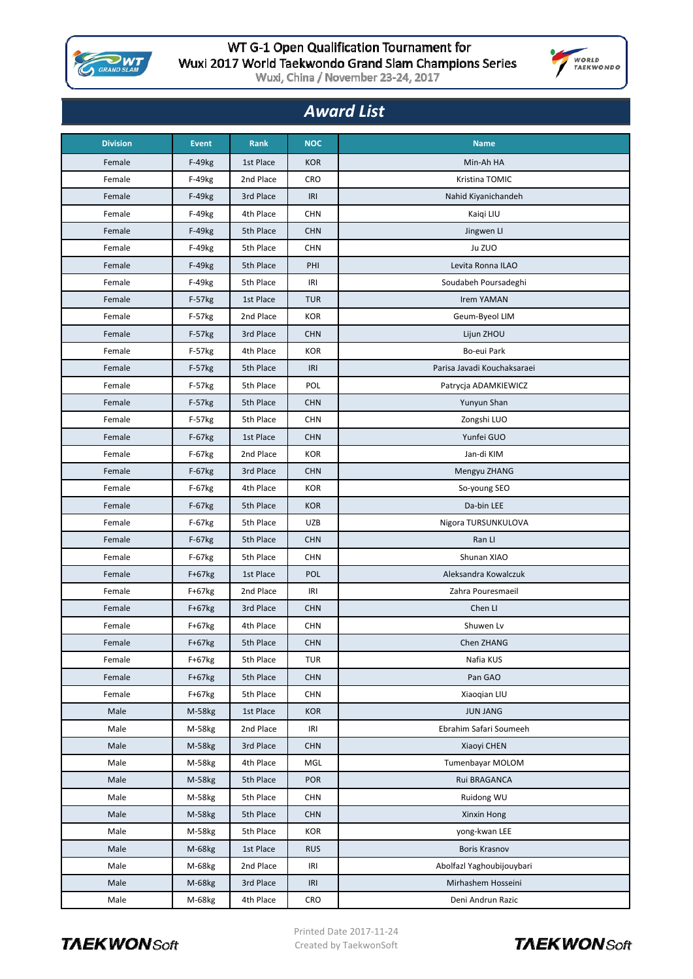

## WT G-1 Open Qualification Tournament for Wuxi 2017 World Taekwondo Grand Slam Champions Series<br>Wuxi, China / November 23-24, 2017



| <b>Award List</b> |              |             |            |                             |  |  |  |
|-------------------|--------------|-------------|------------|-----------------------------|--|--|--|
| <b>Division</b>   | <b>Event</b> | <b>Rank</b> | <b>NOC</b> | <b>Name</b>                 |  |  |  |
| Female            | $F-49kg$     | 1st Place   | <b>KOR</b> | Min-Ah HA                   |  |  |  |
| Female            | F-49kg       | 2nd Place   | <b>CRO</b> | Kristina TOMIC              |  |  |  |
| Female            | F-49kg       | 3rd Place   | IRI        | Nahid Kiyanichandeh         |  |  |  |
| Female            | F-49kg       | 4th Place   | <b>CHN</b> | Kaiqi LIU                   |  |  |  |
| Female            | F-49kg       | 5th Place   | <b>CHN</b> | Jingwen Ll                  |  |  |  |
| Female            | F-49kg       | 5th Place   | <b>CHN</b> | Ju ZUO                      |  |  |  |
| Female            | F-49kg       | 5th Place   | PHI        | Levita Ronna ILAO           |  |  |  |
| Female            | F-49kg       | 5th Place   | IRI        | Soudabeh Poursadeghi        |  |  |  |
| Female            | F-57kg       | 1st Place   | <b>TUR</b> | <b>Irem YAMAN</b>           |  |  |  |
| Female            | F-57kg       | 2nd Place   | <b>KOR</b> | Geum-Byeol LIM              |  |  |  |
| Female            | $F-57kg$     | 3rd Place   | <b>CHN</b> | Lijun ZHOU                  |  |  |  |
| Female            | F-57kg       | 4th Place   | <b>KOR</b> | Bo-eui Park                 |  |  |  |
| Female            | F-57kg       | 5th Place   | IRI        | Parisa Javadi Kouchaksaraei |  |  |  |
| Female            | F-57kg       | 5th Place   | POL        | Patrycja ADAMKIEWICZ        |  |  |  |
| Female            | F-57kg       | 5th Place   | <b>CHN</b> | Yunyun Shan                 |  |  |  |
| Female            | F-57kg       | 5th Place   | <b>CHN</b> | Zongshi LUO                 |  |  |  |
| Female            | F-67kg       | 1st Place   | <b>CHN</b> | Yunfei GUO                  |  |  |  |
| Female            | F-67kg       | 2nd Place   | <b>KOR</b> | Jan-di KIM                  |  |  |  |
| Female            | $F-67kg$     | 3rd Place   | <b>CHN</b> | Mengyu ZHANG                |  |  |  |
| Female            | F-67kg       | 4th Place   | <b>KOR</b> | So-young SEO                |  |  |  |
| Female            | $F-67kg$     | 5th Place   | <b>KOR</b> | Da-bin LEE                  |  |  |  |
| Female            | F-67kg       | 5th Place   | <b>UZB</b> | Nigora TURSUNKULOVA         |  |  |  |
| Female            | $F-67kg$     | 5th Place   | <b>CHN</b> | Ran LI                      |  |  |  |
| Female            | F-67kg       | 5th Place   | <b>CHN</b> | Shunan XIAO                 |  |  |  |
| Female            | $F+67kg$     | 1st Place   | <b>POL</b> | Aleksandra Kowalczuk        |  |  |  |
| Female            | F+67kg       | 2nd Place   | IRI        | Zahra Pouresmaeil           |  |  |  |
| Female            | $F+67kg$     | 3rd Place   | <b>CHN</b> | Chen LI                     |  |  |  |
| Female            | F+67kg       | 4th Place   | <b>CHN</b> | Shuwen Lv                   |  |  |  |
| Female            | $F+67kg$     | 5th Place   | <b>CHN</b> | Chen ZHANG                  |  |  |  |
| Female            | $F+67kg$     | 5th Place   | TUR        | Nafia KUS                   |  |  |  |
| Female            | $F+67kg$     | 5th Place   | <b>CHN</b> | Pan GAO                     |  |  |  |
| Female            | $F+67kg$     | 5th Place   | <b>CHN</b> | Xiaogian LIU                |  |  |  |
| Male              | M-58kg       | 1st Place   | <b>KOR</b> | <b>JUN JANG</b>             |  |  |  |
| Male              | M-58kg       | 2nd Place   | IRI        | Ebrahim Safari Soumeeh      |  |  |  |
| Male              | M-58kg       | 3rd Place   | <b>CHN</b> | Xiaoyi CHEN                 |  |  |  |
| Male              | M-58kg       | 4th Place   | MGL        | Tumenbayar MOLOM            |  |  |  |
| Male              | M-58kg       | 5th Place   | <b>POR</b> | Rui BRAGANCA                |  |  |  |
| Male              | M-58kg       | 5th Place   | <b>CHN</b> | Ruidong WU                  |  |  |  |
| Male              | M-58kg       | 5th Place   | <b>CHN</b> | Xinxin Hong                 |  |  |  |
| Male              | M-58kg       | 5th Place   | KOR        | yong-kwan LEE               |  |  |  |
| Male              | M-68kg       | 1st Place   | <b>RUS</b> | <b>Boris Krasnov</b>        |  |  |  |
| Male              | M-68kg       | 2nd Place   | IRI        | Abolfazl Yaghoubijouybari   |  |  |  |
| Male              | M-68kg       | 3rd Place   | IRI        | Mirhashem Hosseini          |  |  |  |
| Male              | M-68kg       | 4th Place   | CRO        | Deni Andrun Razic           |  |  |  |